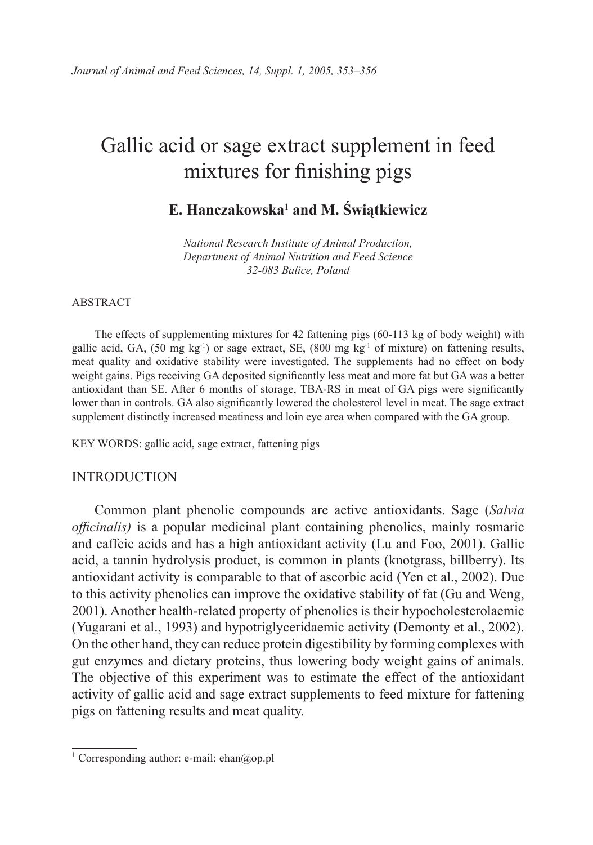# Gallic acid or sage extract supplement in feed mixtures for finishing pigs

# **E. Hanczakowska1 and M. Świątkiewicz**

*National Research Institute of Animal Production, Department of Animal Nutrition and Feed Science 32-083 Balice, Poland*

#### ABSTRACT

The effects of supplementing mixtures for 42 fattening pigs (60-113 kg of body weight) with gallic acid, GA,  $(50 \text{ mg kg}^{-1})$  or sage extract, SE,  $(800 \text{ mg kg}^{-1} \text{ of mixture})$  on fattening results, meat quality and oxidative stability were investigated. The supplements had no effect on body weight gains. Pigs receiving GA deposited significantly less meat and more fat but GA was a better antioxidant than SE. After 6 months of storage, TBA-RS in meat of GA pigs were significantly lower than in controls. GA also significantly lowered the cholesterol level in meat. The sage extract supplement distinctly increased meatiness and loin eye area when compared with the GA group.

KEY WORDS: gallic acid, sage extract, fattening pigs

### INTRODUCTION

Common plant phenolic compounds are active antioxidants. Sage (*Salvia officinalis)* is a popular medicinal plant containing phenolics, mainly rosmaric and caffeic acids and has a high antioxidant activity (Lu and Foo, 2001). Gallic acid, a tannin hydrolysis product, is common in plants (knotgrass, billberry). Its antioxidant activity is comparable to that of ascorbic acid (Yen et al., 2002). Due to this activity phenolics can improve the oxidative stability of fat (Gu and Weng, 2001). Another health-related property of phenolics is their hypocholesterolaemic (Yugarani et al., 1993) and hypotriglyceridaemic activity (Demonty et al., 2002). On the other hand, they can reduce protein digestibility by forming complexes with gut enzymes and dietary proteins, thus lowering body weight gains of animals. The objective of this experiment was to estimate the effect of the antioxidant activity of gallic acid and sage extract supplements to feed mixture for fattening pigs on fattening results and meat quality.

<sup>&</sup>lt;sup>1</sup> Corresponding author: e-mail: ehan@op.pl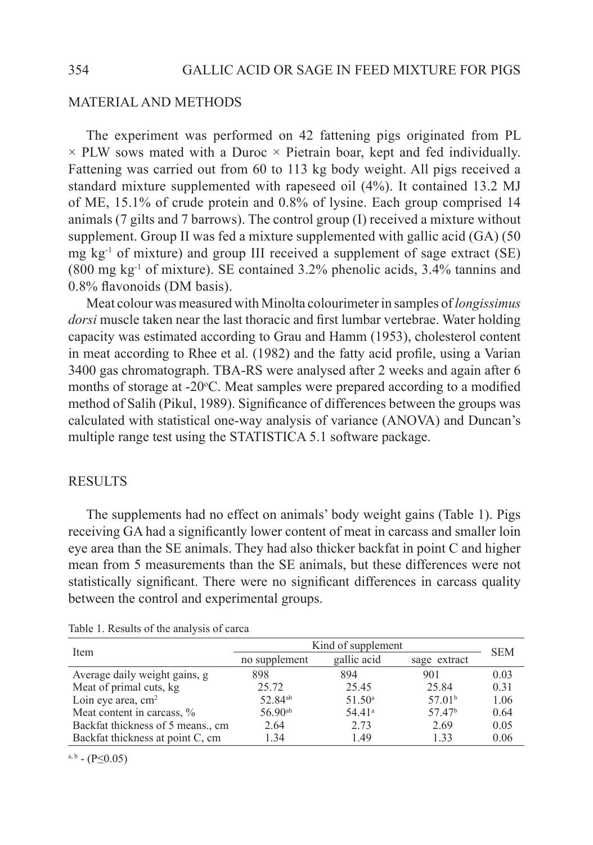# MATERIAL AND METHODS

The experiment was performed on 42 fattening pigs originated from PL  $\times$  PLW sows mated with a Duroc  $\times$  Pietrain boar, kept and fed individually. Fattening was carried out from 60 to 113 kg body weight. All pigs received a standard mixture supplemented with rapeseed oil (4%). It contained 13.2 MJ of ME, 15.1% of crude protein and 0.8% of lysine. Each group comprised 14 animals (7 gilts and 7 barrows). The control group (I) received a mixture without supplement. Group II was fed a mixture supplemented with gallic acid (GA) (50 mg  $kg<sup>-1</sup>$  of mixture) and group III received a supplement of sage extract (SE) (800 mg kg-1 of mixture). SE contained 3.2% phenolic acids, 3.4% tannins and 0.8% flavonoids (DM basis).

Meat colour was measured with Minolta colourimeter in samples of *longissimus dorsi* muscle taken near the last thoracic and first lumbar vertebrae. Water holding capacity was estimated according to Grau and Hamm (1953), cholesterol content in meat according to Rhee et al. (1982) and the fatty acid profile, using a Varian 3400 gas chromatograph. TBA-RS were analysed after 2 weeks and again after 6 months of storage at -20°C. Meat samples were prepared according to a modified method of Salih (Pikul, 1989). Significance of differences between the groups was calculated with statistical one-way analysis of variance (ANOVA) and Duncan's multiple range test using the STATISTICA 5.1 software package.

## **RESULTS**

The supplements had no effect on animals' body weight gains (Table 1). Pigs receiving GA had a significantly lower content of meat in carcass and smaller loin eye area than the SE animals. They had also thicker backfat in point C and higher mean from 5 measurements than the SE animals, but these differences were not statistically significant. There were no significant differences in carcass quality between the control and experimental groups.

| Item                              | Kind of supplement  |                    |                    | <b>SEM</b> |
|-----------------------------------|---------------------|--------------------|--------------------|------------|
|                                   | no supplement       | gallic acid        | sage extract       |            |
| Average daily weight gains, g     | 898                 | 894                | 901                | 0.03       |
| Meat of primal cuts, kg           | 25.72               | 25.45              | 25.84              | 0.31       |
| Loin eye area, $cm2$              | 52.84 <sup>ab</sup> | 51.50 <sup>a</sup> | 57.01 <sup>b</sup> | 1.06       |
| Meat content in carcass, %        | $56.90^{ab}$        | 54.41 <sup>a</sup> | 5747 <sup>b</sup>  | 0.64       |
| Backfat thickness of 5 means., cm | 2.64                | 2.73               | 2.69               | 0.05       |
| Backfat thickness at point C, cm  | 1.34                | 1.49               | 1.33               | 0.06       |

Table 1. Results of the analysis of carca

 $a, b - (P \le 0.05)$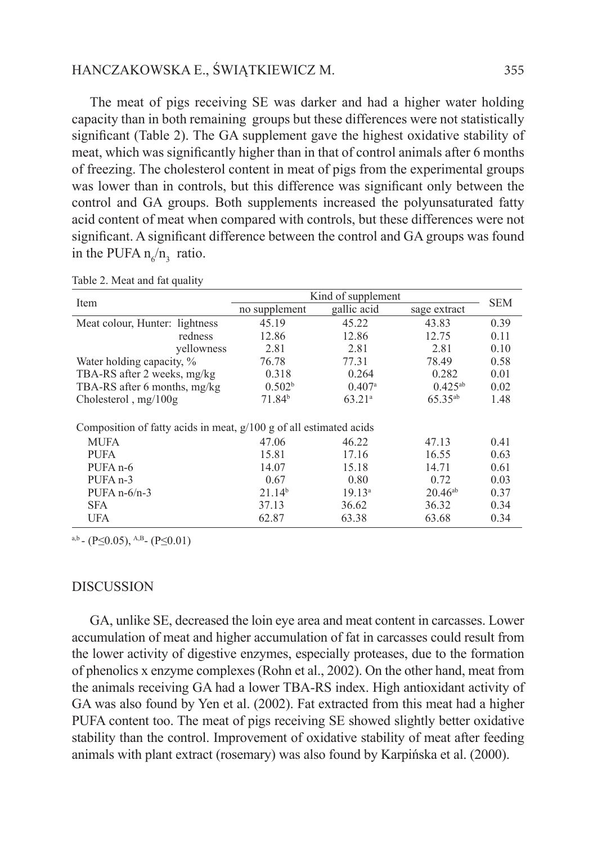# HANCZAKOWSKA E., ŚWIĄTKIEWICZ M. 355

The meat of pigs receiving SE was darker and had a higher water holding capacity than in both remaining groups but these differences were not statistically significant (Table 2). The GA supplement gave the highest oxidative stability of meat, which was significantly higher than in that of control animals after 6 months of freezing. The cholesterol content in meat of pigs from the experimental groups was lower than in controls, but this difference was significant only between the control and GA groups. Both supplements increased the polyunsaturated fatty acid content of meat when compared with controls, but these differences were not significant. A significant difference between the control and GA groups was found in the PUFA  $n_6/n_3$  ratio.

| Item                                                                 | Kind of supplement |                    |                     | <b>SEM</b> |  |  |
|----------------------------------------------------------------------|--------------------|--------------------|---------------------|------------|--|--|
|                                                                      | no supplement      | gallic acid        | sage extract        |            |  |  |
| Meat colour, Hunter: lightness                                       | 45.19              | 45.22              | 43.83               | 0.39       |  |  |
| redness                                                              | 12.86              | 12.86              | 12.75               | 0.11       |  |  |
| vellowness                                                           | 2.81               | 2.81               | 2.81                | 0.10       |  |  |
| Water holding capacity, %                                            | 76.78              | 77.31              | 78.49               | 0.58       |  |  |
| TBA-RS after 2 weeks, mg/kg                                          | 0.318              | 0.264              | 0.282               | 0.01       |  |  |
| TBA-RS after 6 months, mg/kg                                         | 0.502 <sup>b</sup> | 0.407 <sup>a</sup> | $0.425^{ab}$        | 0.02       |  |  |
| Cholesterol, $mg/100g$                                               | 71.84 <sup>b</sup> | 63.21 <sup>a</sup> | 65.35 <sup>ab</sup> | 1.48       |  |  |
|                                                                      |                    |                    |                     |            |  |  |
| Composition of fatty acids in meat, $g/100 g$ of all estimated acids |                    |                    |                     |            |  |  |
| MUFA                                                                 | 47.06              | 46.22              | 47.13               | 0.41       |  |  |
| <b>PUFA</b>                                                          | 15.81              | 17.16              | 16.55               | 0.63       |  |  |
| PUFA <sub>n-6</sub>                                                  | 14.07              | 15.18              | 14.71               | 0.61       |  |  |
| PUFA <sub>n</sub> -3                                                 | 0.67               | 0.80               | 0.72                | 0.03       |  |  |
| PUFA $n-6/n-3$                                                       | 21.14 <sup>b</sup> | 19.13 <sup>a</sup> | $20.46^{ab}$        | 0.37       |  |  |
| <b>SFA</b>                                                           | 37.13              | 36.62              | 36.32               | 0.34       |  |  |
| <b>UFA</b>                                                           | 62.87              | 63.38              | 63.68               | 0.34       |  |  |

Table 2. Meat and fat quality

a,b - (P $\leq$ 0.05), <sup>A,B</sup> - (P $\leq$ 0.01)

### **DISCUSSION**

GA, unlike SE, decreased the loin eye area and meat content in carcasses. Lower accumulation of meat and higher accumulation of fat in carcasses could result from the lower activity of digestive enzymes, especially proteases, due to the formation of phenolics x enzyme complexes (Rohn et al., 2002). On the other hand, meat from the animals receiving GA had a lower TBA-RS index. High antioxidant activity of GA was also found by Yen et al. (2002). Fat extracted from this meat had a higher PUFA content too. The meat of pigs receiving SE showed slightly better oxidative stability than the control. Improvement of oxidative stability of meat after feeding animals with plant extract (rosemary) was also found by Karpińska et al. (2000).